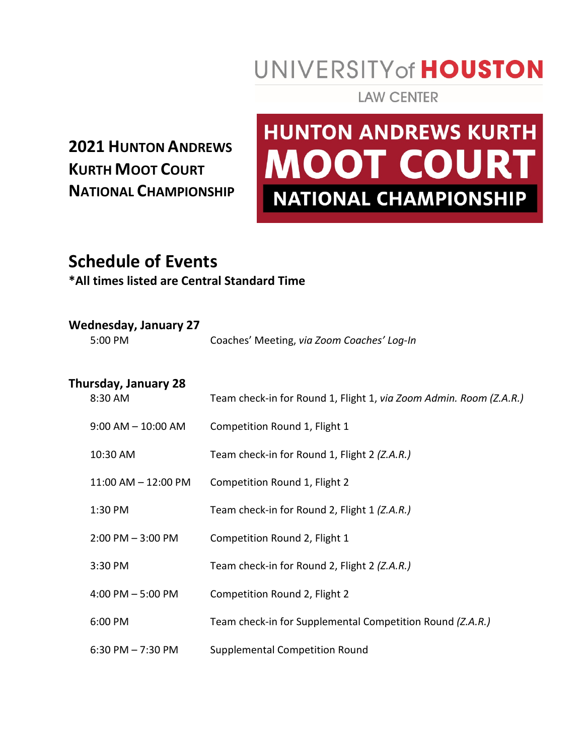## UNIVERSITY of HOUSTON

**LAW CENTER** 

### **2021 HUNTON ANDREWS KURTH MOOT COURT NATIONAL CHAMPIONSHIP**

# **HUNTON ANDREWS KURTH MOOT COURT NATIONAL CHAMPIONSHIP**

### **Schedule of Events**

#### **\*All times listed are Central Standard Time**

| Wednesday, January 27<br>5:00 PM | Coaches' Meeting, via Zoom Coaches' Log-In                         |
|----------------------------------|--------------------------------------------------------------------|
| Thursday, January 28<br>8:30 AM  | Team check-in for Round 1, Flight 1, via Zoom Admin. Room (Z.A.R.) |

| $9:00$ AM $-$ 10:00 AM  | Competition Round 1, Flight 1                             |
|-------------------------|-----------------------------------------------------------|
| 10:30 AM                | Team check-in for Round 1, Flight 2 (Z.A.R.)              |
| $11:00$ AM $- 12:00$ PM | Competition Round 1, Flight 2                             |
| 1:30 PM                 | Team check-in for Round 2, Flight 1 (Z.A.R.)              |
| $2:00$ PM $-3:00$ PM    | Competition Round 2, Flight 1                             |
| 3:30 PM                 | Team check-in for Round 2, Flight 2 (Z.A.R.)              |
| 4:00 PM $-5:00$ PM      | Competition Round 2, Flight 2                             |
| 6:00 PM                 | Team check-in for Supplemental Competition Round (Z.A.R.) |
| 6:30 PM $- 7:30$ PM     | <b>Supplemental Competition Round</b>                     |